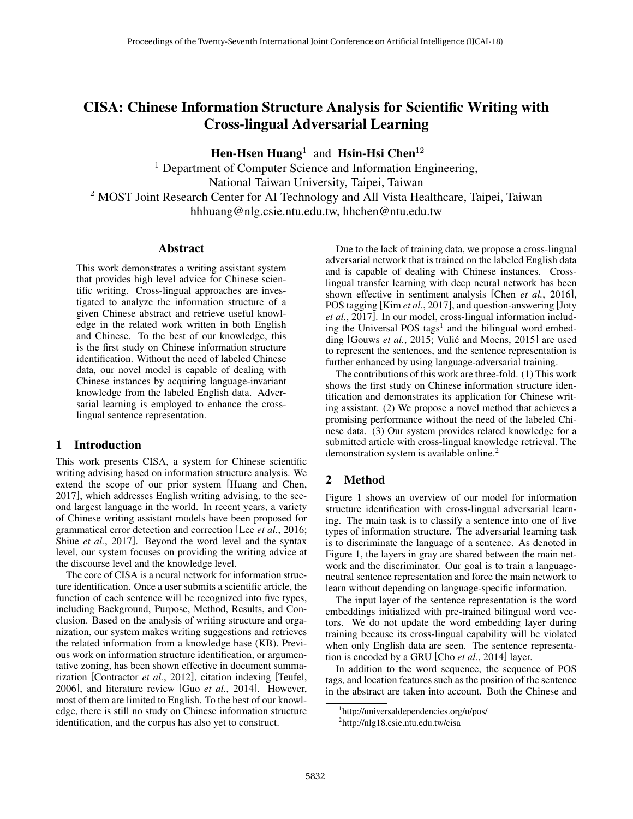# CISA: Chinese Information Structure Analysis for Scientific Writing with Cross-lingual Adversarial Learning

Hen-Hsen Huang<sup>1</sup> and Hsin-Hsi Chen<sup>12</sup>

<sup>1</sup> Department of Computer Science and Information Engineering, National Taiwan University, Taipei, Taiwan <sup>2</sup> MOST Joint Research Center for AI Technology and All Vista Healthcare, Taipei, Taiwan hhhuang@nlg.csie.ntu.edu.tw, hhchen@ntu.edu.tw

#### Abstract

This work demonstrates a writing assistant system that provides high level advice for Chinese scientific writing. Cross-lingual approaches are investigated to analyze the information structure of a given Chinese abstract and retrieve useful knowledge in the related work written in both English and Chinese. To the best of our knowledge, this is the first study on Chinese information structure identification. Without the need of labeled Chinese data, our novel model is capable of dealing with Chinese instances by acquiring language-invariant knowledge from the labeled English data. Adversarial learning is employed to enhance the crosslingual sentence representation.

#### 1 Introduction

This work presents CISA, a system for Chinese scientific writing advising based on information structure analysis. We extend the scope of our prior system [Huang and Chen, 2017], which addresses English writing advising, to the second largest language in the world. In recent years, a variety of Chinese writing assistant models have been proposed for grammatical error detection and correction [Lee *et al.*, 2016; Shiue *et al.*, 2017]. Beyond the word level and the syntax level, our system focuses on providing the writing advice at the discourse level and the knowledge level.

The core of CISA is a neural network for information structure identification. Once a user submits a scientific article, the function of each sentence will be recognized into five types, including Background, Purpose, Method, Results, and Conclusion. Based on the analysis of writing structure and organization, our system makes writing suggestions and retrieves the related information from a knowledge base (KB). Previous work on information structure identification, or argumentative zoning, has been shown effective in document summarization [Contractor *et al.*, 2012], citation indexing [Teufel, 2006], and literature review [Guo *et al.*, 2014]. However, most of them are limited to English. To the best of our knowledge, there is still no study on Chinese information structure identification, and the corpus has also yet to construct.

Due to the lack of training data, we propose a cross-lingual adversarial network that is trained on the labeled English data and is capable of dealing with Chinese instances. Crosslingual transfer learning with deep neural network has been shown effective in sentiment analysis [Chen *et al.*, 2016], POS tagging [Kim *et al.*, 2017], and question-answering [Joty *et al.*, 2017]. In our model, cross-lingual information including the Universal POS tags<sup>1</sup> and the bilingual word embedding [Gouws et al., 2015; Vulić and Moens, 2015] are used to represent the sentences, and the sentence representation is further enhanced by using language-adversarial training.

The contributions of this work are three-fold. (1) This work shows the first study on Chinese information structure identification and demonstrates its application for Chinese writing assistant. (2) We propose a novel method that achieves a promising performance without the need of the labeled Chinese data. (3) Our system provides related knowledge for a submitted article with cross-lingual knowledge retrieval. The demonstration system is available online.<sup>2</sup>

# 2 Method

Figure 1 shows an overview of our model for information structure identification with cross-lingual adversarial learning. The main task is to classify a sentence into one of five types of information structure. The adversarial learning task is to discriminate the language of a sentence. As denoted in Figure 1, the layers in gray are shared between the main network and the discriminator. Our goal is to train a languageneutral sentence representation and force the main network to learn without depending on language-specific information.

The input layer of the sentence representation is the word embeddings initialized with pre-trained bilingual word vectors. We do not update the word embedding layer during training because its cross-lingual capability will be violated when only English data are seen. The sentence representation is encoded by a GRU [Cho *et al.*, 2014] layer.

In addition to the word sequence, the sequence of POS tags, and location features such as the position of the sentence in the abstract are taken into account. Both the Chinese and

<sup>1</sup> http://universaldependencies.org/u/pos/

<sup>&</sup>lt;sup>2</sup>http://nlg18.csie.ntu.edu.tw/cisa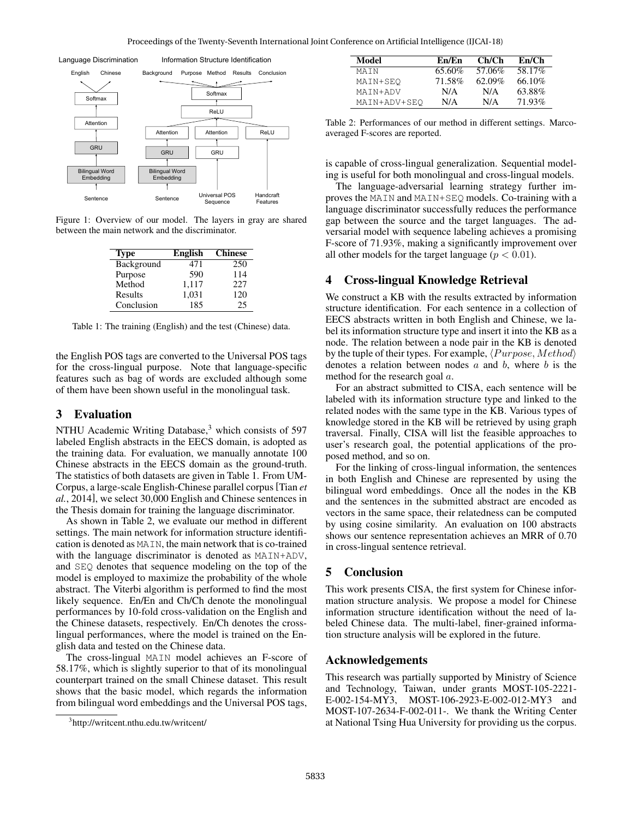

Figure 1: Overview of our model. The layers in gray are shared between the main network and the discriminator.

| <b>Type</b> | <b>English</b> | <b>Chinese</b> |
|-------------|----------------|----------------|
| Background  | 471            | 250            |
| Purpose     | 590            | 114            |
| Method      | 1,117          | 227            |
| Results     | 1,031          | 120            |
| Conclusion  | 185            | 25             |

Table 1: The training (English) and the test (Chinese) data.

the English POS tags are converted to the Universal POS tags for the cross-lingual purpose. Note that language-specific features such as bag of words are excluded although some of them have been shown useful in the monolingual task.

#### 3 Evaluation

NTHU Academic Writing Database, $3$  which consists of 597 labeled English abstracts in the EECS domain, is adopted as the training data. For evaluation, we manually annotate 100 Chinese abstracts in the EECS domain as the ground-truth. The statistics of both datasets are given in Table 1. From UM-Corpus, a large-scale English-Chinese parallel corpus[Tian *et al.*, 2014], we select 30,000 English and Chinese sentences in the Thesis domain for training the language discriminator.

As shown in Table 2, we evaluate our method in different settings. The main network for information structure identification is denoted as MAIN, the main network that is co-trained with the language discriminator is denoted as MAIN+ADV, and SEQ denotes that sequence modeling on the top of the model is employed to maximize the probability of the whole abstract. The Viterbi algorithm is performed to find the most likely sequence. En/En and Ch/Ch denote the monolingual performances by 10-fold cross-validation on the English and the Chinese datasets, respectively. En/Ch denotes the crosslingual performances, where the model is trained on the English data and tested on the Chinese data.

The cross-lingual MAIN model achieves an F-score of 58.17%, which is slightly superior to that of its monolingual counterpart trained on the small Chinese dataset. This result shows that the basic model, which regards the information from bilingual word embeddings and the Universal POS tags,

| Model        | En/En  | Ch/Ch     | En/Ch   |
|--------------|--------|-----------|---------|
| MATN         | 65.60% | 57.06%    | 58.17%  |
| MAIN+SEO     | 71.58% | $62.09\%$ | 66.10\% |
| MAIN+ADV     | N/A    | N/A       | 63.88%  |
| MAIN+ADV+SEO | N/A    | N/A       | 71.93%  |

Table 2: Performances of our method in different settings. Marcoaveraged F-scores are reported.

is capable of cross-lingual generalization. Sequential modeling is useful for both monolingual and cross-lingual models.

The language-adversarial learning strategy further improves the MAIN and MAIN+SEQ models. Co-training with a language discriminator successfully reduces the performance gap between the source and the target languages. The adversarial model with sequence labeling achieves a promising F-score of 71.93%, making a significantly improvement over all other models for the target language ( $p < 0.01$ ).

## 4 Cross-lingual Knowledge Retrieval

We construct a KB with the results extracted by information structure identification. For each sentence in a collection of EECS abstracts written in both English and Chinese, we label its information structure type and insert it into the KB as a node. The relation between a node pair in the KB is denoted by the tuple of their types. For example,  $\langle Purpose, Method \rangle$ denotes a relation between nodes  $a$  and  $b$ , where  $b$  is the method for the research goal a.

For an abstract submitted to CISA, each sentence will be labeled with its information structure type and linked to the related nodes with the same type in the KB. Various types of knowledge stored in the KB will be retrieved by using graph traversal. Finally, CISA will list the feasible approaches to user's research goal, the potential applications of the proposed method, and so on.

For the linking of cross-lingual information, the sentences in both English and Chinese are represented by using the bilingual word embeddings. Once all the nodes in the KB and the sentences in the submitted abstract are encoded as vectors in the same space, their relatedness can be computed by using cosine similarity. An evaluation on 100 abstracts shows our sentence representation achieves an MRR of 0.70 in cross-lingual sentence retrieval.

## 5 Conclusion

This work presents CISA, the first system for Chinese information structure analysis. We propose a model for Chinese information structure identification without the need of labeled Chinese data. The multi-label, finer-grained information structure analysis will be explored in the future.

#### Acknowledgements

This research was partially supported by Ministry of Science and Technology, Taiwan, under grants MOST-105-2221- E-002-154-MY3, MOST-106-2923-E-002-012-MY3 and MOST-107-2634-F-002-011-. We thank the Writing Center at National Tsing Hua University for providing us the corpus.

<sup>3</sup> http://writcent.nthu.edu.tw/writcent/